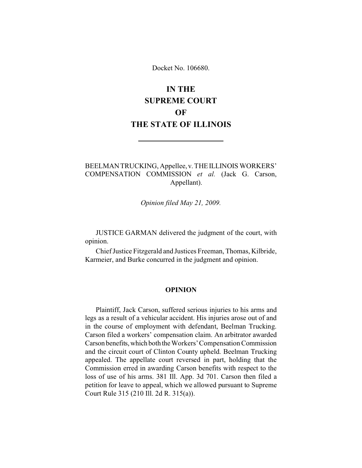Docket No. 106680.

# **IN THE SUPREME COURT OF THE STATE OF ILLINOIS**

# BEELMAN TRUCKING, Appellee, v. THE ILLINOIS WORKERS' COMPENSATION COMMISSION *et al.* (Jack G. Carson, Appellant).

*Opinion filed May 21, 2009.*

JUSTICE GARMAN delivered the judgment of the court, with opinion.

Chief Justice Fitzgerald and Justices Freeman, Thomas, Kilbride, Karmeier, and Burke concurred in the judgment and opinion.

### **OPINION**

Plaintiff, Jack Carson, suffered serious injuries to his arms and legs as a result of a vehicular accident. His injuries arose out of and in the course of employment with defendant, Beelman Trucking. Carson filed a workers' compensation claim. An arbitrator awarded Carson benefits,which both theWorkers' Compensation Commission and the circuit court of Clinton County upheld. Beelman Trucking appealed. The appellate court reversed in part, holding that the Commission erred in awarding Carson benefits with respect to the loss of use of his arms. 381 Ill. App. 3d 701. Carson then filed a petition for leave to appeal, which we allowed pursuant to Supreme Court Rule 315 (210 Ill. 2d R. 315(a)).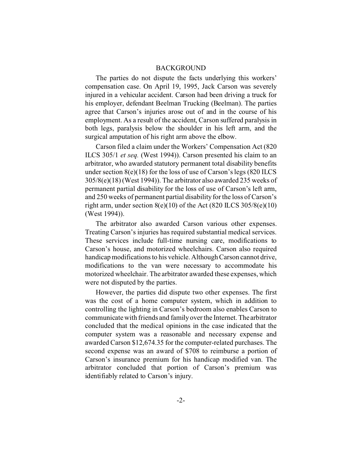## BACKGROUND

The parties do not dispute the facts underlying this workers' compensation case. On April 19, 1995, Jack Carson was severely injured in a vehicular accident. Carson had been driving a truck for his employer, defendant Beelman Trucking (Beelman). The parties agree that Carson's injuries arose out of and in the course of his employment. As a result of the accident, Carson suffered paralysis in both legs, paralysis below the shoulder in his left arm, and the surgical amputation of his right arm above the elbow.

Carson filed a claim under the Workers' Compensation Act (820 ILCS 305/1 *et seq.* (West 1994)). Carson presented his claim to an arbitrator, who awarded statutory permanent total disability benefits under section  $8(e)(18)$  for the loss of use of Carson's legs  $(820$  ILCS 305/8(e)(18) (West 1994)). The arbitrator also awarded 235 weeks of permanent partial disability for the loss of use of Carson's left arm, and 250 weeks of permanent partial disability for the loss of Carson's right arm, under section  $8(e)(10)$  of the Act  $(820$  ILCS  $305/8(e)(10)$ (West 1994)).

The arbitrator also awarded Carson various other expenses. Treating Carson's injuries has required substantial medical services. These services include full-time nursing care, modifications to Carson's house, and motorized wheelchairs. Carson also required handicap modifications to his vehicle. Although Carson cannot drive, modifications to the van were necessary to accommodate his motorized wheelchair. The arbitrator awarded these expenses, which were not disputed by the parties.

However, the parties did dispute two other expenses. The first was the cost of a home computer system, which in addition to controlling the lighting in Carson's bedroom also enables Carson to communicate with friends and family over the Internet. The arbitrator concluded that the medical opinions in the case indicated that the computer system was a reasonable and necessary expense and awarded Carson \$12,674.35 for the computer-related purchases. The second expense was an award of \$708 to reimburse a portion of Carson's insurance premium for his handicap modified van. The arbitrator concluded that portion of Carson's premium was identifiably related to Carson's injury.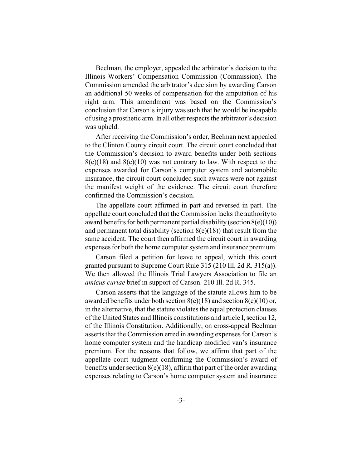Beelman, the employer, appealed the arbitrator's decision to the Illinois Workers' Compensation Commission (Commission). The Commission amended the arbitrator's decision by awarding Carson an additional 50 weeks of compensation for the amputation of his right arm. This amendment was based on the Commission's conclusion that Carson's injury was such that he would be incapable of using a prosthetic arm. In all other respects the arbitrator's decision was upheld.

After receiving the Commission's order, Beelman next appealed to the Clinton County circuit court. The circuit court concluded that the Commission's decision to award benefits under both sections  $8(e)(18)$  and  $8(e)(10)$  was not contrary to law. With respect to the expenses awarded for Carson's computer system and automobile insurance, the circuit court concluded such awards were not against the manifest weight of the evidence. The circuit court therefore confirmed the Commission's decision.

The appellate court affirmed in part and reversed in part. The appellate court concluded that the Commission lacks the authority to award benefits for both permanent partial disability (section  $8(e)(10)$ ) and permanent total disability (section  $8(e)(18)$ ) that result from the same accident. The court then affirmed the circuit court in awarding expenses for both the home computer system and insurance premium.

Carson filed a petition for leave to appeal, which this court granted pursuant to Supreme Court Rule 315 (210 Ill. 2d R. 315(a)). We then allowed the Illinois Trial Lawyers Association to file an *amicus curiae* brief in support of Carson. 210 Ill. 2d R. 345.

Carson asserts that the language of the statute allows him to be awarded benefits under both section  $8(e)(18)$  and section  $8(e)(10)$  or, in the alternative, that the statute violates the equal protection clauses of the United States and Illinois constitutions and article I, section 12, of the Illinois Constitution. Additionally, on cross-appeal Beelman asserts that the Commission erred in awarding expenses for Carson's home computer system and the handicap modified van's insurance premium. For the reasons that follow, we affirm that part of the appellate court judgment confirming the Commission's award of benefits under section  $8(e)(18)$ , affirm that part of the order awarding expenses relating to Carson's home computer system and insurance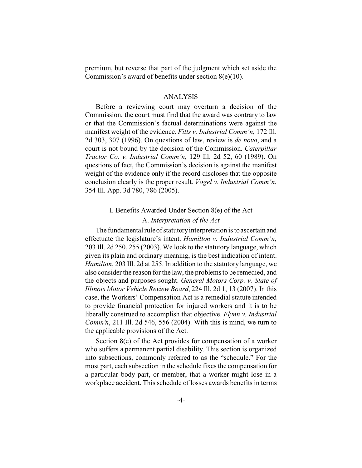premium, but reverse that part of the judgment which set aside the Commission's award of benefits under section  $8(e)(10)$ .

#### ANALYSIS

Before a reviewing court may overturn a decision of the Commission, the court must find that the award was contrary to law or that the Commission's factual determinations were against the manifest weight of the evidence. *Fitts v. Industrial Comm'n*, 172 Ill. 2d 303, 307 (1996). On questions of law, review is *de novo*, and a court is not bound by the decision of the Commission. *Caterpillar Tractor Co. v. Industrial Comm'n*, 129 Ill. 2d 52, 60 (1989). On questions of fact, the Commission's decision is against the manifest weight of the evidence only if the record discloses that the opposite conclusion clearly is the proper result. *Vogel v. Industrial Comm'n*, 354 Ill. App. 3d 780, 786 (2005).

#### I. Benefits Awarded Under Section 8(e) of the Act

## A. *Interpretation of the Act*

The fundamental rule of statutory interpretation is to ascertain and effectuate the legislature's intent. *Hamilton v. Industrial Comm'n*, 203 Ill. 2d 250, 255 (2003). We look to the statutory language, which given its plain and ordinary meaning, is the best indication of intent. *Hamilton*, 203 Ill. 2d at 255. In addition to the statutory language, we also consider the reason for the law, the problems to be remedied, and the objects and purposes sought. *General Motors Corp. v. State of Illinois Motor Vehicle Review Board*, 224 Ill. 2d 1, 13 (2007). In this case, the Workers' Compensation Act is a remedial statute intended to provide financial protection for injured workers and it is to be liberally construed to accomplish that objective. *Flynn v. Industrial Comm'n*, 211 Ill. 2d 546, 556 (2004). With this is mind, we turn to the applicable provisions of the Act.

Section 8(e) of the Act provides for compensation of a worker who suffers a permanent partial disability. This section is organized into subsections, commonly referred to as the "schedule." For the most part, each subsection in the schedule fixes the compensation for a particular body part, or member, that a worker might lose in a workplace accident. This schedule of losses awards benefits in terms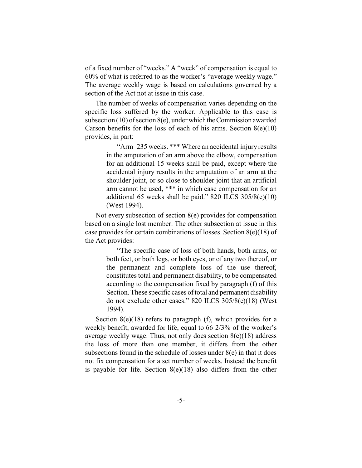of a fixed number of "weeks." A "week" of compensation is equal to 60% of what is referred to as the worker's "average weekly wage." The average weekly wage is based on calculations governed by a section of the Act not at issue in this case.

The number of weeks of compensation varies depending on the specific loss suffered by the worker. Applicable to this case is subsection  $(10)$  of section  $8(e)$ , under which the Commission awarded Carson benefits for the loss of each of his arms. Section  $8(e)(10)$ provides, in part:

> "Arm–235 weeks. \*\*\* Where an accidental injury results in the amputation of an arm above the elbow, compensation for an additional 15 weeks shall be paid, except where the accidental injury results in the amputation of an arm at the shoulder joint, or so close to shoulder joint that an artificial arm cannot be used, \*\*\* in which case compensation for an additional 65 weeks shall be paid." 820 ILCS 305/8(e)(10) (West 1994).

Not every subsection of section 8(e) provides for compensation based on a single lost member. The other subsection at issue in this case provides for certain combinations of losses. Section 8(e)(18) of the Act provides:

> "The specific case of loss of both hands, both arms, or both feet, or both legs, or both eyes, or of any two thereof, or the permanent and complete loss of the use thereof, constitutes total and permanent disability, to be compensated according to the compensation fixed by paragraph (f) of this Section. These specific cases of total and permanent disability do not exclude other cases." 820 ILCS 305/8(e)(18) (West 1994).

Section 8(e)(18) refers to paragraph (f), which provides for a weekly benefit, awarded for life, equal to 66 2/3% of the worker's average weekly wage. Thus, not only does section 8(e)(18) address the loss of more than one member, it differs from the other subsections found in the schedule of losses under  $8(e)$  in that it does not fix compensation for a set number of weeks. Instead the benefit is payable for life. Section  $8(e)(18)$  also differs from the other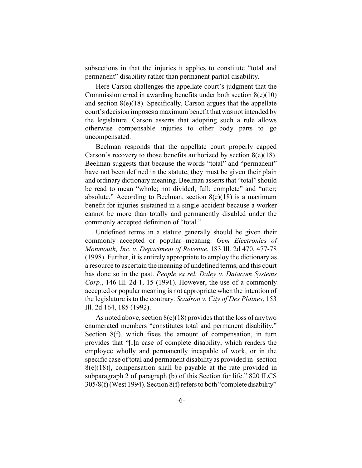subsections in that the injuries it applies to constitute "total and permanent" disability rather than permanent partial disability.

Here Carson challenges the appellate court's judgment that the Commission erred in awarding benefits under both section 8(e)(10) and section  $8(e)(18)$ . Specifically, Carson argues that the appellate court's decision imposes a maximum benefit that was not intended by the legislature. Carson asserts that adopting such a rule allows otherwise compensable injuries to other body parts to go uncompensated.

Beelman responds that the appellate court properly capped Carson's recovery to those benefits authorized by section  $8(e)(18)$ . Beelman suggests that because the words "total" and "permanent" have not been defined in the statute, they must be given their plain and ordinary dictionary meaning. Beelman asserts that "total" should be read to mean "whole; not divided; full; complete" and "utter; absolute." According to Beelman, section  $8(e)(18)$  is a maximum benefit for injuries sustained in a single accident because a worker cannot be more than totally and permanently disabled under the commonly accepted definition of "total."

Undefined terms in a statute generally should be given their commonly accepted or popular meaning. *Gem Electronics of Monmouth, Inc. v. Department of Revenue*, 183 Ill. 2d 470, 477-78 (1998). Further, it is entirely appropriate to employ the dictionary as a resource to ascertain the meaning of undefined terms, and this court has done so in the past. *People ex rel. Daley v. Datacom Systems Corp.*, 146 Ill. 2d 1, 15 (1991). However, the use of a commonly accepted or popular meaning is not appropriate when the intention of the legislature is to the contrary. *Scadron v. City of Des Plaines*, 153 Ill. 2d 164, 185 (1992).

As noted above, section  $8(e)(18)$  provides that the loss of any two enumerated members "constitutes total and permanent disability." Section 8(f), which fixes the amount of compensation, in turn provides that "[i]n case of complete disability, which renders the employee wholly and permanently incapable of work, or in the specific case of total and permanent disability as provided in [section  $8(e)(18)$ ], compensation shall be payable at the rate provided in subparagraph 2 of paragraph (b) of this Section for life." 820 ILCS 305/8(f) (West 1994). Section 8(f) refers to both "completedisability"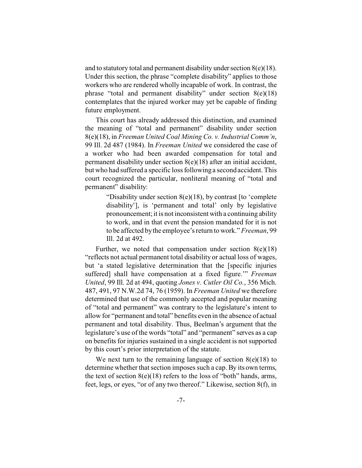and to statutory total and permanent disability under section  $8(e)(18)$ . Under this section, the phrase "complete disability" applies to those workers who are rendered wholly incapable of work. In contrast, the phrase "total and permanent disability" under section 8(e)(18) contemplates that the injured worker may yet be capable of finding future employment.

This court has already addressed this distinction, and examined the meaning of "total and permanent" disability under section 8(e)(18), in *Freeman United Coal Mining Co. v. Industrial Comm'n*, 99 Ill. 2d 487 (1984). In *Freeman United* we considered the case of a worker who had been awarded compensation for total and permanent disability under section 8(e)(18) after an initial accident, but who had suffered a specific loss following a second accident. This court recognized the particular, nonliteral meaning of "total and permanent" disability:

> "Disability under section 8(e)(18), by contrast [to 'complete disability'], is 'permanent and total' only by legislative pronouncement; it is not inconsistent with a continuing ability to work, and in that event the pension mandated for it is not to be affected by the employee's return to work." *Freeman*, 99 Ill. 2d at 492.

Further, we noted that compensation under section  $8(e)(18)$ "reflects not actual permanent total disability or actual loss of wages, but 'a stated legislative determination that the [specific injuries suffered] shall have compensation at a fixed figure.'" *Freeman United*, 99 Ill. 2d at 494, quoting *Jones v. Cutler Oil Co.*, 356 Mich. 487, 491, 97 N.W.2d 74, 76 (1959). In *Freeman United* we therefore determined that use of the commonly accepted and popular meaning of "total and permanent" was contrary to the legislature's intent to allow for "permanent and total" benefits even in the absence of actual permanent and total disability. Thus, Beelman's argument that the legislature's use of the words "total" and "permanent" serves as a cap on benefits for injuries sustained in a single accident is not supported by this court's prior interpretation of the statute.

We next turn to the remaining language of section  $8(e)(18)$  to determine whether that section imposes such a cap. By its own terms, the text of section  $8(e)(18)$  refers to the loss of "both" hands, arms, feet, legs, or eyes, "or of any two thereof." Likewise, section 8(f), in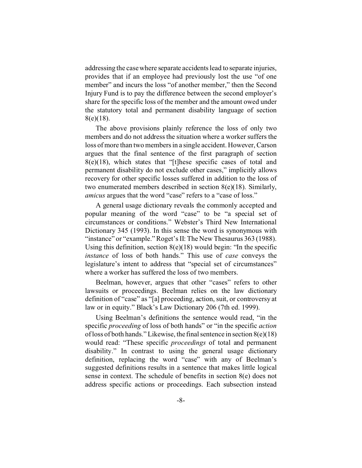addressing the case where separate accidents lead to separate injuries, provides that if an employee had previously lost the use "of one member" and incurs the loss "of another member," then the Second Injury Fund is to pay the difference between the second employer's share for the specific loss of the member and the amount owed under the statutory total and permanent disability language of section 8(e)(18).

The above provisions plainly reference the loss of only two members and do not address the situation where a worker suffers the loss of more than two members in a single accident. However, Carson argues that the final sentence of the first paragraph of section  $8(e)(18)$ , which states that "[t]hese specific cases of total and permanent disability do not exclude other cases," implicitly allows recovery for other specific losses suffered in addition to the loss of two enumerated members described in section 8(e)(18). Similarly, *amicus* argues that the word "case" refers to a "case of loss."

A general usage dictionary reveals the commonly accepted and popular meaning of the word "case" to be "a special set of circumstances or conditions." Webster's Third New International Dictionary 345 (1993). In this sense the word is synonymous with "instance" or "example." Roget's II: The New Thesaurus 363 (1988). Using this definition, section  $8(e)(18)$  would begin: "In the specific *instance* of loss of both hands." This use of *case* conveys the legislature's intent to address that "special set of circumstances" where a worker has suffered the loss of two members.

Beelman, however, argues that other "cases" refers to other lawsuits or proceedings. Beelman relies on the law dictionary definition of "case" as "[a] proceeding, action, suit, or controversy at law or in equity." Black's Law Dictionary 206 (7th ed. 1999).

Using Beelman's definitions the sentence would read, "in the specific *proceeding* of loss of both hands" or "in the specific *action* of loss of both hands." Likewise, the final sentence in section  $8(e)(18)$ would read: "These specific *proceedings* of total and permanent disability." In contrast to using the general usage dictionary definition, replacing the word "case" with any of Beelman's suggested definitions results in a sentence that makes little logical sense in context. The schedule of benefits in section 8(e) does not address specific actions or proceedings. Each subsection instead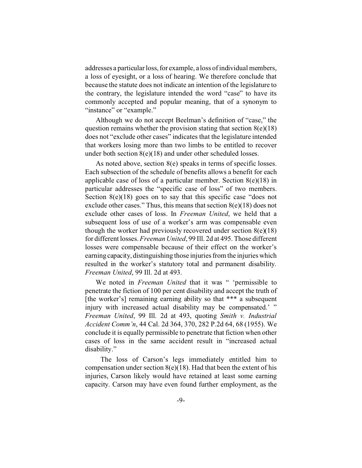addresses a particular loss, for example, a loss of individual members, a loss of eyesight, or a loss of hearing. We therefore conclude that because the statute does not indicate an intention of the legislature to the contrary, the legislature intended the word "case" to have its commonly accepted and popular meaning, that of a synonym to "instance" or "example."

Although we do not accept Beelman's definition of "case," the question remains whether the provision stating that section  $8(e)(18)$ does not "exclude other cases" indicates that the legislature intended that workers losing more than two limbs to be entitled to recover under both section 8(e)(18) and under other scheduled losses.

As noted above, section 8(e) speaks in terms of specific losses. Each subsection of the schedule of benefits allows a benefit for each applicable case of loss of a particular member. Section  $8(e)(18)$  in particular addresses the "specific case of loss" of two members. Section 8(e)(18) goes on to say that this specific case "does not exclude other cases." Thus, this means that section  $8(e)(18)$  does not exclude other cases of loss. In *Freeman United*, we held that a subsequent loss of use of a worker's arm was compensable even though the worker had previously recovered under section  $8(e)(18)$ for different losses. *Freeman United*, 99 Ill. 2d at 495. Those different losses were compensable because of their effect on the worker's earning capacity, distinguishing those injuries from the injuries which resulted in the worker's statutory total and permanent disability. *Freeman United*, 99 Ill. 2d at 493.

We noted in *Freeman United* that it was " 'permissible to penetrate the fiction of 100 per cent disability and accept the truth of [the worker's] remaining earning ability so that \*\*\* a subsequent injury with increased actual disability may be compensated.' " *Freeman United*, 99 Ill. 2d at 493, quoting *Smith v. Industrial Accident Comm'n*, 44 Cal. 2d 364, 370, 282 P.2d 64, 68 (1955). We conclude it is equally permissible to penetrate that fiction when other cases of loss in the same accident result in "increased actual disability."

 The loss of Carson's legs immediately entitled him to compensation under section  $8(e)(18)$ . Had that been the extent of his injuries, Carson likely would have retained at least some earning capacity. Carson may have even found further employment, as the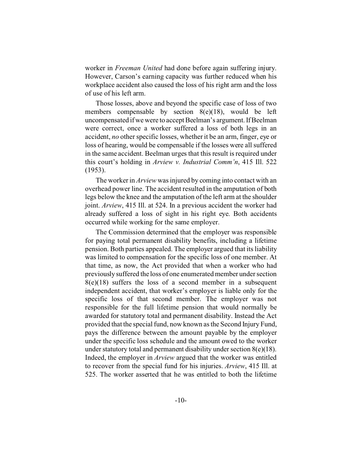worker in *Freeman United* had done before again suffering injury. However, Carson's earning capacity was further reduced when his workplace accident also caused the loss of his right arm and the loss of use of his left arm.

Those losses, above and beyond the specific case of loss of two members compensable by section 8(e)(18), would be left uncompensated if we were to accept Beelman's argument. If Beelman were correct, once a worker suffered a loss of both legs in an accident, *no* other specific losses, whether it be an arm, finger, eye or loss of hearing, would be compensable if the losses were all suffered in the same accident. Beelman urges that this result is required under this court's holding in *Arview v. Industrial Comm'n*, 415 Ill. 522 (1953).

The worker in *Arview* was injured by coming into contact with an overhead power line. The accident resulted in the amputation of both legs below the knee and the amputation of the left arm at the shoulder joint. *Arview*, 415 Ill. at 524. In a previous accident the worker had already suffered a loss of sight in his right eye. Both accidents occurred while working for the same employer.

The Commission determined that the employer was responsible for paying total permanent disability benefits, including a lifetime pension. Both parties appealed. The employer argued that its liability was limited to compensation for the specific loss of one member. At that time, as now, the Act provided that when a worker who had previously suffered the loss of one enumerated member under section  $8(e)(18)$  suffers the loss of a second member in a subsequent independent accident, that worker's employer is liable only for the specific loss of that second member. The employer was not responsible for the full lifetime pension that would normally be awarded for statutory total and permanent disability. Instead the Act provided that the special fund, now known as the Second Injury Fund, pays the difference between the amount payable by the employer under the specific loss schedule and the amount owed to the worker under statutory total and permanent disability under section  $8(e)(18)$ . Indeed, the employer in *Arview* argued that the worker was entitled to recover from the special fund for his injuries. *Arview*, 415 Ill. at 525. The worker asserted that he was entitled to both the lifetime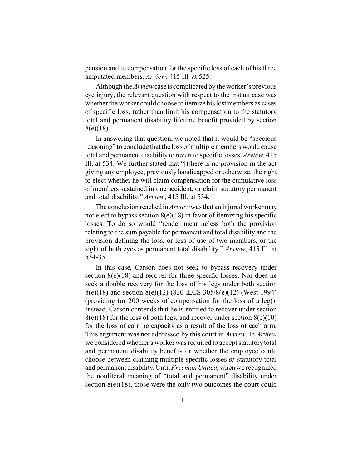pension and to compensation for the specific loss of each of his three amputated members. *Arview*, 415 Ill. at 525.

Although the *Arview* case is complicated by the worker's previous eye injury, the relevant question with respect to the instant case was whether the worker could choose to itemize his lost members as cases of specific loss, rather than limit his compensation to the statutory total and permanent disability lifetime benefit provided by section 8(e)(18).

In answering that question, we noted that it would be "specious reasoning" to conclude that the loss of multiple members would cause total and permanent disability to revert to specific losses. *Arview*, 415 Ill. at 534. We further stated that "[t]here is no provision in the act giving any employee, previously handicapped or otherwise, the right to elect whether he will claim compensation for the cumulative loss of members sustained in one accident, or claim statutory permanent and total disability." *Arview*, 415 Ill. at 534.

The conclusion reached in *Arview* was that an injured worker may not elect to bypass section  $8(e)(18)$  in favor of itemizing his specific losses. To do so would "render meaningless both the provision relating to the sum payable for permanent and total disability and the provision defining the loss, or loss of use of two members, or the sight of both eyes as permanent total disability." *Arview*, 415 Ill. at 534-35.

In this case, Carson does not seek to bypass recovery under section  $8(e)(18)$  and recover for three specific losses. Nor does he seek a double recovery for the loss of his legs under both section 8(e)(18) and section 8(e)(12) (820 ILCS 305/8(e)(12) (West 1994) (providing for 200 weeks of compensation for the loss of a leg)). Instead, Carson contends that he is entitled to recover under section  $8(e)(18)$  for the loss of both legs, and recover under section  $8(e)(10)$ for the loss of earning capacity as a result of the loss of each arm. This argument was not addressed by this court in *Arview*. In *Arview* we considered whether a worker was required to accept statutory total and permanent disability benefits or whether the employee could choose between claiming multiple specific losses *or* statutory total and permanent disability. Until *Freeman United,* when we recognized the nonliteral meaning of "total and permanent" disability under section  $8(e)(18)$ , those were the only two outcomes the court could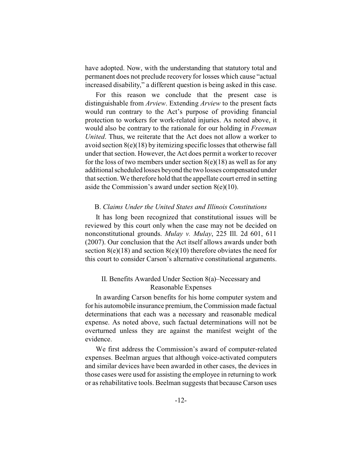have adopted. Now, with the understanding that statutory total and permanent does not preclude recovery for losses which cause "actual increased disability," a different question is being asked in this case.

For this reason we conclude that the present case is distinguishable from *Arview*. Extending *Arview* to the present facts would run contrary to the Act's purpose of providing financial protection to workers for work-related injuries. As noted above, it would also be contrary to the rationale for our holding in *Freeman United*. Thus, we reiterate that the Act does not allow a worker to avoid section  $8(e)(18)$  by itemizing specific losses that otherwise fall under that section. However, the Act does permit a worker to recover for the loss of two members under section  $8(e)(18)$  as well as for any additional scheduled losses beyond the two losses compensated under that section. We therefore hold that the appellate court erred in setting aside the Commission's award under section  $8(e)(10)$ .

#### B. *Claims Under the United States and Illinois Constitutions*

It has long been recognized that constitutional issues will be reviewed by this court only when the case may not be decided on nonconstitutional grounds. *Mulay v. Mulay*, 225 Ill. 2d 601, 611 (2007). Our conclusion that the Act itself allows awards under both section  $8(e)(18)$  and section  $8(e)(10)$  therefore obviates the need for this court to consider Carson's alternative constitutional arguments.

## II. Benefits Awarded Under Section 8(a)–Necessary and Reasonable Expenses

In awarding Carson benefits for his home computer system and for his automobile insurance premium, the Commission made factual determinations that each was a necessary and reasonable medical expense. As noted above, such factual determinations will not be overturned unless they are against the manifest weight of the evidence.

We first address the Commission's award of computer-related expenses. Beelman argues that although voice-activated computers and similar devices have been awarded in other cases, the devices in those cases were used for assisting the employee in returning to work or as rehabilitative tools. Beelman suggests that because Carson uses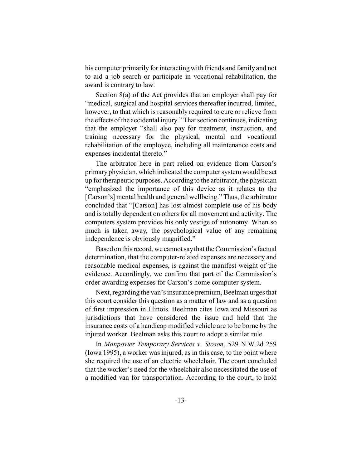his computer primarily for interacting with friends and family and not to aid a job search or participate in vocational rehabilitation, the award is contrary to law.

Section 8(a) of the Act provides that an employer shall pay for "medical, surgical and hospital services thereafter incurred, limited, however, to that which is reasonably required to cure or relieve from the effectsofthe accidental injury." That section continues, indicating that the employer "shall also pay for treatment, instruction, and training necessary for the physical, mental and vocational rehabilitation of the employee, including all maintenance costs and expenses incidental thereto."

The arbitrator here in part relied on evidence from Carson's primary physician, which indicated the computer system would be set up for therapeutic purposes. According to the arbitrator, the physician "emphasized the importance of this device as it relates to the [Carson's] mental health and general wellbeing." Thus, the arbitrator concluded that "[Carson] has lost almost complete use of his body and is totally dependent on others for all movement and activity. The computers system provides his only vestige of autonomy. When so much is taken away, the psychological value of any remaining independence is obviously magnified."

Based on this record, we cannot say that the Commission's factual determination, that the computer-related expenses are necessary and reasonable medical expenses, is against the manifest weight of the evidence. Accordingly, we confirm that part of the Commission's order awarding expenses for Carson's home computer system.

Next, regarding the van's insurance premium, Beelman urges that this court consider this question as a matter of law and as a question of first impression in Illinois. Beelman cites Iowa and Missouri as jurisdictions that have considered the issue and held that the insurance costs of a handicap modified vehicle are to be borne by the injured worker. Beelman asks this court to adopt a similar rule.

In *Manpower Temporary Services v. Sioson*, 529 N.W.2d 259 (Iowa 1995), a worker was injured, as in this case, to the point where she required the use of an electric wheelchair. The court concluded that the worker's need for the wheelchair also necessitated the use of a modified van for transportation. According to the court, to hold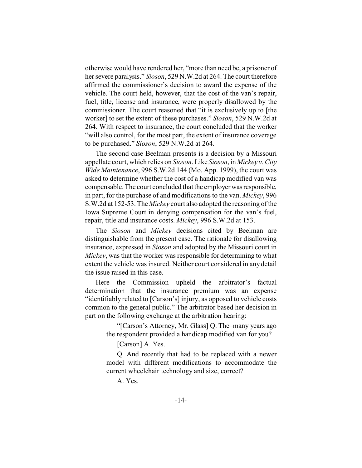otherwise would have rendered her, "more than need be, a prisoner of her severe paralysis." *Sioson*, 529 N.W.2d at 264. The court therefore affirmed the commissioner's decision to award the expense of the vehicle. The court held, however, that the cost of the van's repair, fuel, title, license and insurance, were properly disallowed by the commissioner. The court reasoned that "it is exclusively up to [the worker] to set the extent of these purchases." *Sioson*, 529 N.W.2d at 264. With respect to insurance, the court concluded that the worker "will also control, for the most part, the extent of insurance coverage to be purchased." *Sioson*, 529 N.W.2d at 264.

The second case Beelman presents is a decision by a Missouri appellate court, which relies on *Sioson*. Like *Sioson*, in *Mickey v. City Wide Maintenance*, 996 S.W.2d 144 (Mo. App. 1999), the court was asked to determine whether the cost of a handicap modified van was compensable. The court concluded that the employer wasresponsible, in part, for the purchase of and modifications to the van. *Mickey*, 996 S.W.2d at 152-53. The *Mickey* court also adopted the reasoning of the Iowa Supreme Court in denying compensation for the van's fuel, repair, title and insurance costs. *Mickey*, 996 S.W.2d at 153.

The *Sioson* and *Mickey* decisions cited by Beelman are distinguishable from the present case. The rationale for disallowing insurance, expressed in *Sioson* and adopted by the Missouri court in *Mickey*, was that the worker was responsible for determining to what extent the vehicle was insured. Neither court considered in any detail the issue raised in this case.

Here the Commission upheld the arbitrator's factual determination that the insurance premium was an expense "identifiably related to [Carson's] injury, as opposed to vehicle costs common to the general public." The arbitrator based her decision in part on the following exchange at the arbitration hearing:

> "[Carson's Attorney, Mr. Glass] Q. The–many years ago the respondent provided a handicap modified van for you?

[Carson] A. Yes.

Q. And recently that had to be replaced with a newer model with different modifications to accommodate the current wheelchair technology and size, correct?

A. Yes.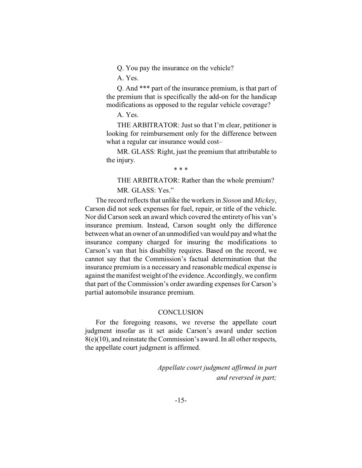Q. You pay the insurance on the vehicle?

A. Yes.

Q. And \*\*\* part of the insurance premium, is that part of the premium that is specifically the add-on for the handicap modifications as opposed to the regular vehicle coverage?

A. Yes.

THE ARBITRATOR: Just so that I'm clear, petitioner is looking for reimbursement only for the difference between what a regular car insurance would cost-

MR. GLASS: Right, just the premium that attributable to the injury.

\* \* \*

THE ARBITRATOR: Rather than the whole premium? MR. GLASS: Yes."

The record reflects that unlike the workers in *Sioson* and *Mickey*, Carson did not seek expenses for fuel, repair, or title of the vehicle. Nor did Carson seek an award which covered the entirety of his van's insurance premium. Instead, Carson sought only the difference between what an owner of an unmodified van would pay and what the insurance company charged for insuring the modifications to Carson's van that his disability requires. Based on the record, we cannot say that the Commission's factual determination that the insurance premium is a necessary and reasonable medical expense is against the manifest weight of the evidence. Accordingly, we confirm that part of the Commission's order awarding expenses for Carson's partial automobile insurance premium.

#### **CONCLUSION**

For the foregoing reasons, we reverse the appellate court judgment insofar as it set aside Carson's award under section 8(e)(10), and reinstate the Commission's award. In all other respects, the appellate court judgment is affirmed.

> *Appellate court judgment affirmed in part and reversed in part;*